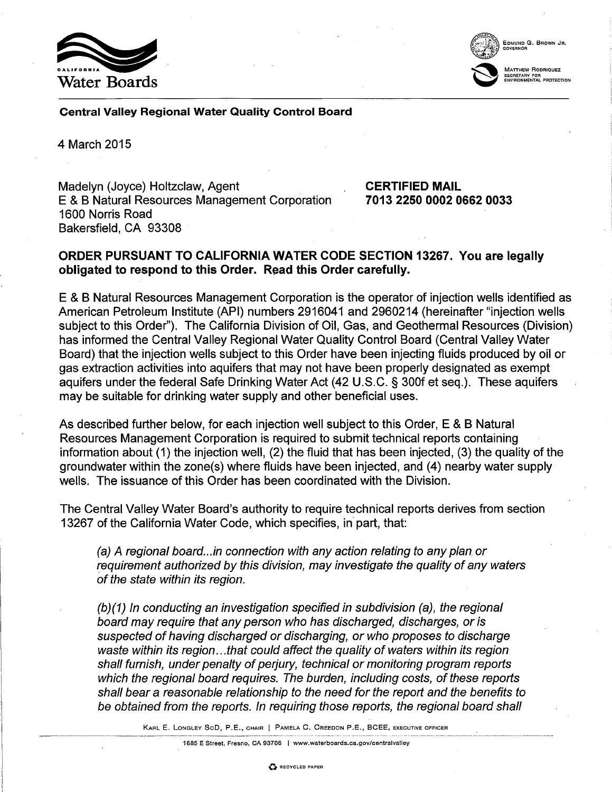



MATTHEW RODRIQUEZ SECRETARY FOR ENVIRONMENTAL PROTECTION

Central Valley Regional Water Quality Control Board

4 March 2015

Madelyn (Joyce) Holtzclaw, Agent **CERTIFIED MAIL** E & B Natural Resources Management Corporation 1600 Norris Road Bakersfield, CA 93308

7013 2250 0002 0662 0033

## ORDER PURSUANT TO CALIFORNIA WATER CODE SECTION 13267. You are legally obligated to respond to this Order. Read this Order carefully.

E & B Natural Resources Management Corporation is the operator of injection wells identified as American Petroleum Institute (API) numbers 2916041 and 2960214 (hereinafter "injection wells subject to this Order"). The California Division of Oil, Gas, and Geothermal Resources (Division) has informed the Central Valley Regional Water Quality Control Board (Central Valley Water Board) that the injection wells subject to this Order have been injecting fluids produced by oil or gas extraction activities into aquifers that may not have been properly designated as exempt aquifers under the federal Safe Drinking Water Act (42 U.S.C. § 300f et seq.). These aquifers may be suitable for drinking water supply and other beneficial uses.

As described further below, for each injection well subject to this Order, E & B Natural Resources Management Corporation is required to submit technical reports containing information about (1) the injection well, (2) the fluid that has been injected, (3) the quality of the groundwater within the zone(s) where fluids have been injected, and (4) nearby water supply wells. The issuance of this Order has been coordinated with the Division.

The Central Valley Water Board's authority to require technical reports derives from section 13267 of the California Water Code, which specifies, in part, that:

(a) A regional board... in connection with any action relating to any plan or requirement authorized by this division, may investigate the quality of any waters of the state within its region.

(b)(1) In conducting an investigation specified in subdivision (a), the regional board may require that any person who has discharged, discharges, or is suspected of having discharged or discharging, or who proposes to discharge waste within its region...that could affect the quality of waters within its region shall furnish, under penalty of perjury, technical or monitoring program reports which the regional board requires. The burden, including costs, of these reports shall bear a reasonable relationship to the need for the report and the benefits to be obtained from the reports. In requiring those reports, the regional board shall

KARL E. LONGLEY SCD, P.E., CHAIR | PAMELA C. CREEDON P.E., BCEE, EXECUTIVE OFFICER

1685 E Street, Fresno, CA 93706 | www.waterboards.ca.gov/centralvalley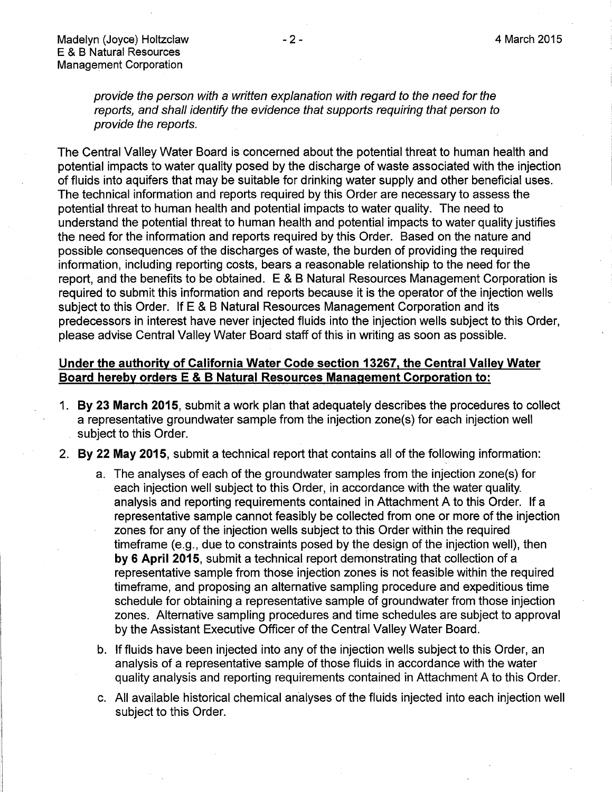provide the person with a written explanation with regard to the need for the reports, and shall identify the evidence that supports requiring that person to provide the reports.

The Central Valley Water Board is concerned about the potential threat to human health and potential impacts to water quality posed by the discharge of waste associated with the injection of fluids into aquifers that may be suitable for drinking water supply and other beneficial uses. The technical information and reports required by this Order are necessary to assess the potential threat to human health and potential impacts to water quality. The need to understand the potential threat to human health and potential impacts to water quality justifies the need for the information and reports required by this Order. Based on the nature and possible consequences of the discharges of waste, the burden of providing the required information, including reporting costs, bears a reasonable relationship to the need for the report, and the benefits to be obtained.  $E & B$  Natural Resources Management Corporation is required to submit this information and reports because it is the operator of the injection wells subject to this Order. If E & B Natural Resources Management Corporation and its predecessors in interest have never injected fluids into the injection wells subject to this Order, please advise Central Valley Water Board staff of this in writing as soon as possible.

### **Under the authority of California Water Code section 13267, the Central Valley Water Board hereby orders E & B Natural Resources Management Corporation to:**

- 1. **By 23 March 2015,** submit a work plan that adequately describes the procedures to collect a representative groundwater sample from the injection zone(s) for each injection well subject to this Order.
- 2. **By 22 May 2015,** submit a technical report that contains all of the following information:
	- a. The analyses of each of the groundwater samples from the injection zone(s) for each injection well subject to this Order, in accordance with the water quality. analysis and reporting requirements contained in Attachment A to this Order. If a representative sample cannot feasibly be collected from one or more of the injection zones for any of the injection wells subject to this Order within the required timeframe (e.g., due to constraints posed by the design of the injection well), then **by 6 April 2015,** submit a technical report demonstrating that collection of a representative sample from those injection zones is not feasible within the required timeframe, and proposing an alternative sampling procedure and expeditious time schedule for obtaining a representative sample of groundwater from those injection zones. Alternative sampling procedures and time schedules are subject to approval by the Assistant Executive Officer of the Central Valley Water Board.
	- b. If fluids have been injected into any of the injection wells subject to this Order, an analysis of a representative sample of those fluids in accordance with the water quality analysis and reporting requirements contained in Attachment A to this Order.
	- c. All available historical chemical analyses of the fluids injected into each injection well subject to this Order.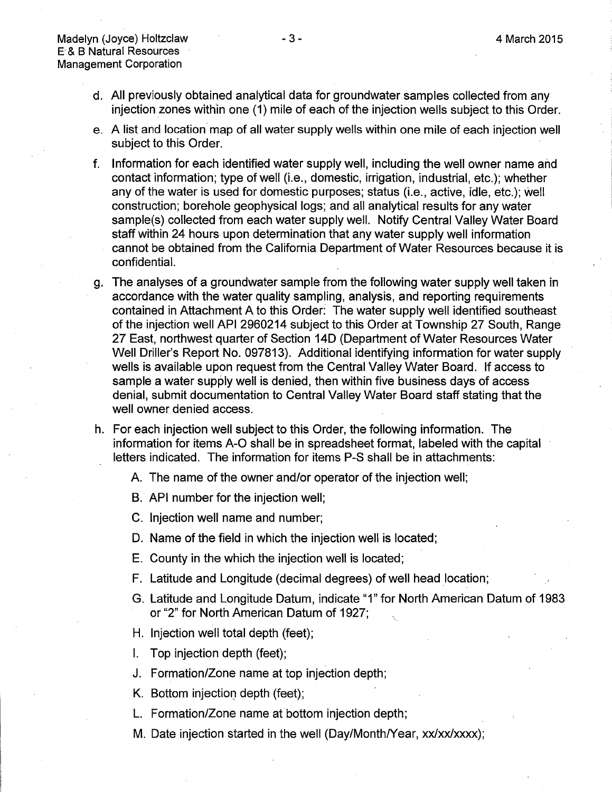Madelyn (Joyce) Holtzclaw E & B Natural Resources Management Corporation

- d. All previously obtained analytical data for groundwater samples collected from any injection zones within one (1) mile of each of the injection wells subject to this Order.
- e. A list and location map of all water supply wells within one mile of each injection well subject to this Order.
- f. Information for each identified water supply well, including the well owner name and contact information; type of well (i.e., domestic, irrigation, industrial, etc.); whether any of the water is used for domestic purposes; status (i.e., active, idle, etc.); well construction; borehole geophysical logs; and all analytical results for any water sample(s) collected from each water supply well. Notify Central Valley Water Board staff within 24 hours upon determination that any water supply well information cannot be obtained from the California Department of Water Resources because it is confidential.
- g. The analyses of a groundwater sample from the following water supply well taken in accordance with the water quality sampling, analysis, and reporting requirements contained in Attachment A to this Order: The water supply well identified southeast of the injection well API 2960214 subject to this Order at Township 27 South, Range 27 East, northwest quarter of Section 14D (Department of Water Resources Water Well Driller's Report No. 097813). Additional identifying information for water supply wells is available upon request from the Central Valley Water Board. If access to sample a water supply well is denied, then within five business days of access denial, submit documentation to Central Valley Water Board staff stating that the well owner denied access.
- h. For each injection well subject to this Order, the following information. The information for items A-0 shall be in spreadsheet format, labeled with the capital letters indicated. The information for items P-S shall be in attachments:
	- A. The name of the owner and/or operator of the injection well;
	- B. API number for the injection well;
	- C. Injection well name and number;
	- D. Name of the field in which the injection well is located;
	- E. County in the which the injection well is located;
	- F. Latitude and Longitude (decimal degrees) of well head location;
	- G. Latitude and Longitude Datum, indicate "1" for North American Datum of 1983 or "2" for North American Datum of 1927;
	- H. Injection well total depth (feet);
	- I. Top injection depth (feet);
	- J. Formation/Zone name at top injection depth;
	- K. Bottom injection depth (feet);
	- L. Formation/Zone name at bottom injection depth;
	- M. Date injection started in the well (Day/Month/Year, xx/xx/xxxx);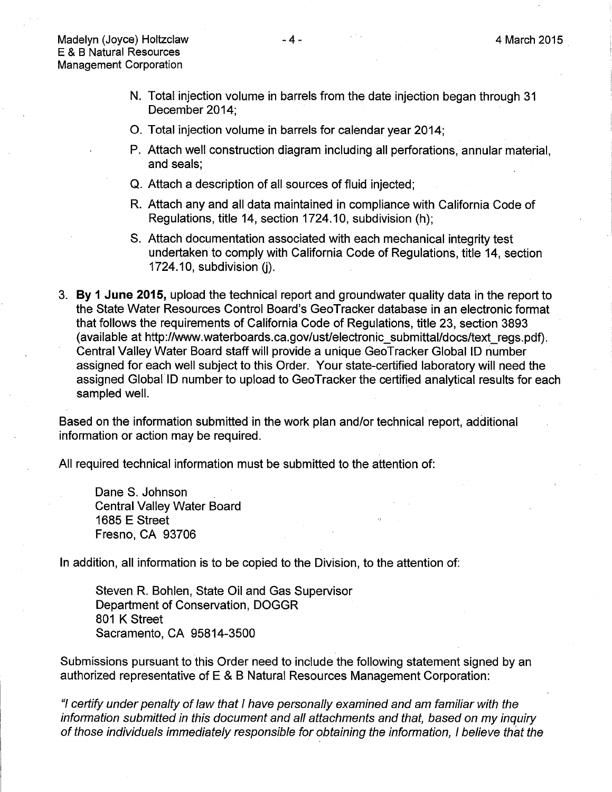- N. Total injection volume in barrels from the date injection began through 31 December 2014;
- 0. Total injection volume in barrels for calendar year 2014;
- P. Attach well construction diagram including all perforations, annular material, and seals;
- Q. Attach a description of all sources of fluid injected;
- R. Attach any and all data maintained in compliance with California Code of Regulations, title 14, section 1724.10, subdivision (h);
- S. Attach documentation associated with each mechanical integrity test undertaken to comply with California Code of Regulations, title 14, section  $1724.10$ , subdivision (i).
- 3. **By 1 June 2015,** upload the technical report and groundwater quality data in the report to the State Water Resources Control Board's GeoTracker database in an electronic format that follows the requirements of California Code of Regulations, title 23, section 3893 (available at http://www.waterboards.ca.gov/ust/electronic\_submittal/docs/text\_regs.pdf). Central Valley Water Board staff will provide a unique GeoTracker Global ID number assigned for each well subject to this Order. Your state-certified laboratory will need the assigned Global ID number to upload to GeoTracker the certified analytical results for each sampled well.

Based on the information submitted in the work plan and/or technical report, additional information or action may be required.

All required technical information must be submitted to the attention of:

Dane S. Johnson Central Valley Water Board 1685 E Street Fresno, CA 93706

In addition, all information is to be copied to the Division, to the attention of:

Steven R. Bohlen, State Oil and Gas Supervisor Department of Conservation, DOGGR 801 K Street Sacramento, CA 95814-3500

Submissions pursuant to this Order need to include the following statement signed by an authorized representative of E & B Natural Resources Management Corporation:

"I certify under penalty of law that I have personally examined and am familiar with the information submitted in this document and all attachments and that, based on my inquiry of those individuals immediately responsible for obtaining the information, I believe that the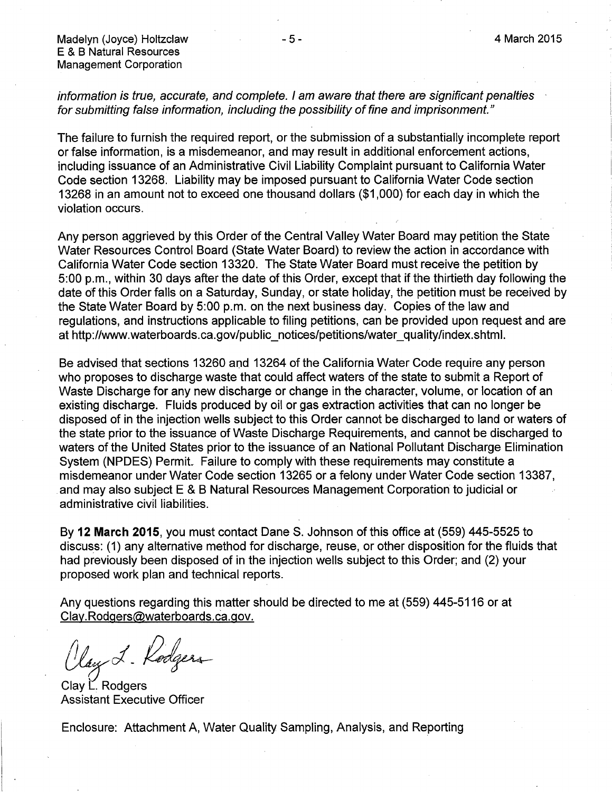Madelyn (Joyce) Holtzclaw E & B Natural Resources Management Corporation

### information is true, accurate, and complete. I am aware that there are significant penalties for submitting false information, including the possibility of fine and imprisonment."

The failure to furnish the required report, or the submission of a substantially incomplete report or false information, is a misdemeanor, and may result in additional enforcement actions, including issuance of an Administrative Civil Liability Complaint pursuant to California Water Code section 13268. Liability may be imposed pursuant to California Water Code section 13268 in an amount not to exceed one thousand dollars (\$1 ,000) for each day in which the violation occurs.

Any person aggrieved by this Order of the Central Valley Water Board may petition the State Water Resources Control Board (State Water Board) to review the action in accordance with California Water Code section 13320. The State Water Board must receive the petition by 5:00 p.m., within 30 days after the date of this Order, except that if the thirtieth day following the date of this Order falls on a Saturday, Sunday, or state holiday, the petition must be received by the State Water Board by 5:00 p.m. on the next business day. Copies of the law and regulations, and instructions applicable to filing petitions, can be provided upon request and are at http://www.waterboards.ca.gov/public\_notices/petitions/water\_quality/index.shtml.

Be advised that sections 13260 and 13264 of the California Water Code require any person who proposes to discharge waste that could affect waters of the state to submit a Report of Waste Discharge for any new discharge or change in the character, volume, or location of an existing discharge. Fluids produced by oil or gas extraction activities that can no longer be disposed of in the injection wells subject to this Order cannot be discharged to land or waters of the state prior to the issuance of Waste Discharge Requirements, and cannot be discharged to waters of the United States prior to the issuance of an National Pollutant Discharge Elimination System (NPDES) Permit. Failure to comply with these requirements may constitute a misdemeanor under Water Code section 13265 or a felony under Water Code section 13387, . and may also subject E & B Natural Resources Management Corporation to judicial or administrative civil liabilities.

By 12 March 2015, you must contact Dane S. Johnson of this office at (559) 445-5525 to discuss: (1) any alternative method for discharge, reuse, or other disposition for the fluids that had previously been disposed of in the injection wells subject to this Order; and (2) your proposed work plan and technical reports.

Any questions regarding this matter should be directed to me at (559) 445-5116 or at Clay.Rodgers@waterboards.ca.gov.

(lay 2. Kodgers

Clay L. Rodgers Assistant Executive Officer

Enclosure: Attachment A, Water Quality Sampling, Analysis, and Reporting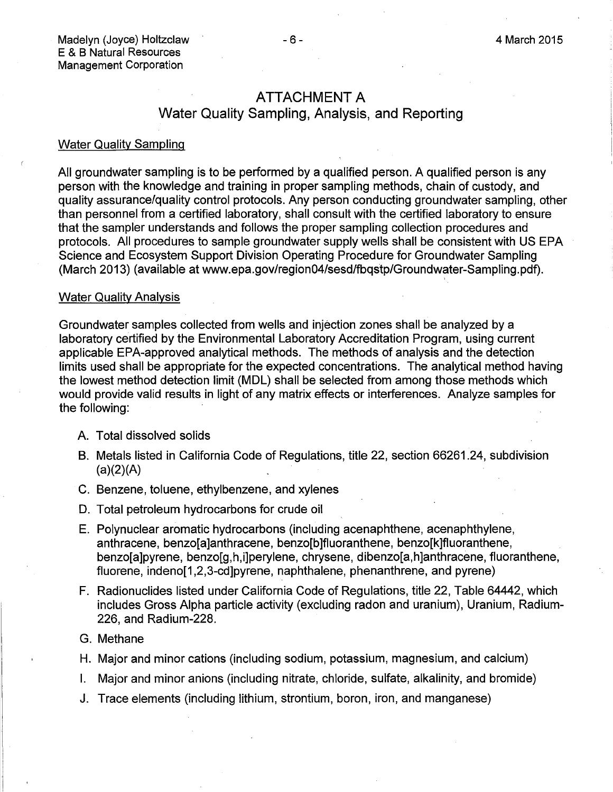## ATTACHMENT A

# Water Quality Sampling, Analysis, and Reporting

#### Water Quality Sampling

All groundwater sampling is to be performed by a qualified person. A qualified person is any person with the knowledge and training in proper sampling methods, chain of custody, and quality assurance/quality control protocols. Any person conducting groundwater sampling, other than personnel from a certified laboratory, shall consult with the certified laboratory to ensure that the sampler understands and follows the proper sampling collection procedures and protocols. All procedures to sample groundwater supply wells shall be consistent with US EPA Science and Ecosystem Support Division Operating Procedure for Groundwater Sampling (March 2013) (available at www.epa.gov/region04/sesd/fbqstp/Groundwater-Sampling.pdf).

#### Water Quality Analysis

Groundwater samples collected from wells and injection zones shall be analyzed by a laboratory certified by the Environmental Laboratory Accreditation Program, using current applicable EPA-approved analytical methods. The methods of analysis and the detection limits used shall be appropriate for the expected concentrations. The analytical method having the lowest method detection limit (MDL) shall be selected from among those methods which would provide valid results in light of any matrix effects or interferences. Analyze samples for the following:

- A. Total dissolved solids
- B. Metals listed in California Code of Regulations, title 22, section 66261.24, subdivision  $(a)(2)(A)$
- C. Benzene, toluene, ethylbenzene, and xylenes
- D. Total petroleum hydrocarbons for crude oil
- E. Polynuclear aromatic hydrocarbons (including acenaphthene, acenaphthylene, anthracene, benzo[a]anthracene, benzo[b]fluoranthene, benzo[k]fluoranthene, benzo[a]pyrene, benzo[g,h,i]perylene, chrysene, dibenzo[a,h]anthraceme, fluoranthene, fluorene, indeno[1,2,3-cd]pyrene, naphthalene, phenanthrene, and pyrene)
- F. Radionuclides listed under California Code of Regulations, title 22, Table 64442, which includes Gross Alpha particle activity (excluding radon and uranium), Uranium, Radium-226, and Radium-228.
- G. Methane
- H. Major and minor cations (including sodium, potassium, magnesium, and calcium)
- I. Major and minor anions (including nitrate, chloride, sulfate, alkalinity, and bromide)
- J. Trace elements (including lithium, strontium, boron, iron, and manganese)